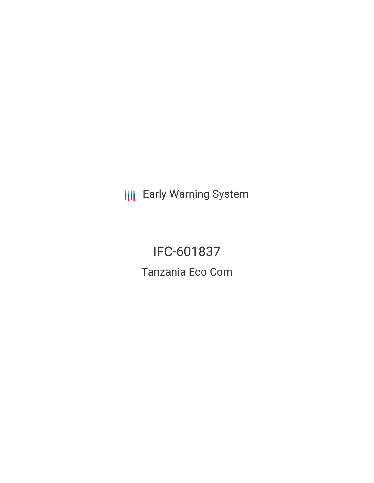**III** Early Warning System

IFC-601837 Tanzania Eco Com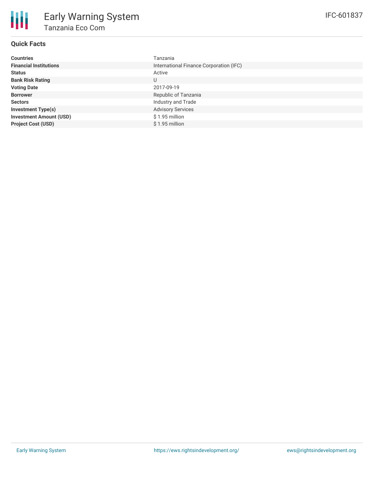## **Quick Facts**

| <b>Countries</b>               | Tanzania                                |
|--------------------------------|-----------------------------------------|
| <b>Financial Institutions</b>  | International Finance Corporation (IFC) |
| <b>Status</b>                  | Active                                  |
| <b>Bank Risk Rating</b>        | U                                       |
| <b>Voting Date</b>             | 2017-09-19                              |
| <b>Borrower</b>                | Republic of Tanzania                    |
| <b>Sectors</b>                 | Industry and Trade                      |
| <b>Investment Type(s)</b>      | <b>Advisory Services</b>                |
| <b>Investment Amount (USD)</b> | \$1.95 million                          |
| <b>Project Cost (USD)</b>      | $$1.95$ million                         |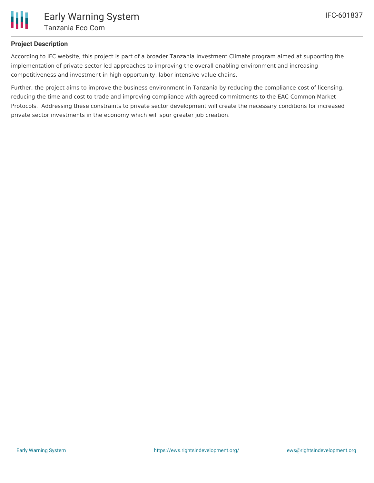

## **Project Description**

According to IFC website, this project is part of a broader Tanzania Investment Climate program aimed at supporting the implementation of private-sector led approaches to improving the overall enabling environment and increasing competitiveness and investment in high opportunity, labor intensive value chains.

Further, the project aims to improve the business environment in Tanzania by reducing the compliance cost of licensing, reducing the time and cost to trade and improving compliance with agreed commitments to the EAC Common Market Protocols. Addressing these constraints to private sector development will create the necessary conditions for increased private sector investments in the economy which will spur greater job creation.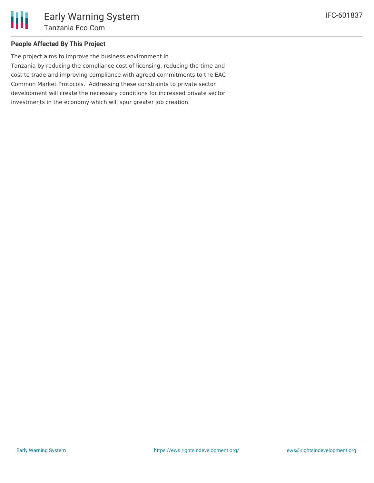### **People Affected By This Project**

The project aims to improve the business environment in Tanzania by reducing the compliance cost of licensing, reducing the time and cost to trade and improving compliance with agreed commitments to the EAC Common Market Protocols. Addressing these constraints to private sector development will create the necessary conditions for increased private sector investments in the economy which will spur greater job creation.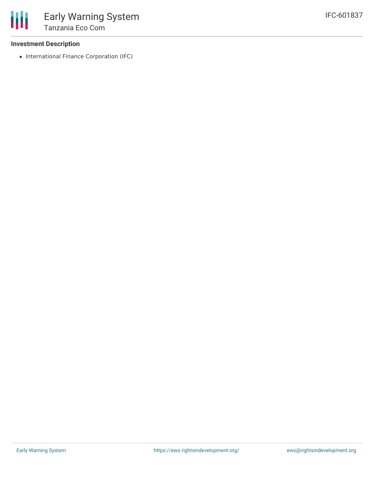#### **Investment Description**

• International Finance Corporation (IFC)